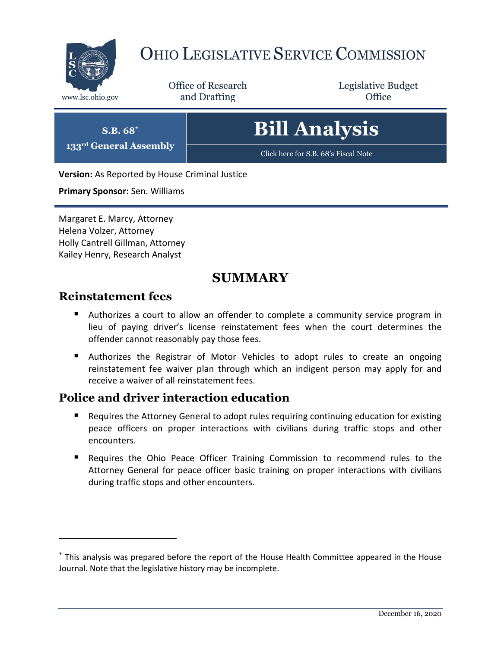

## OHIO LEGISLATIVE SERVICE COMMISSION

Office of Research www.lsc.ohio.gov **and Drafting Office** 

Legislative Budget

| $S.R. 68^*$                        |  |
|------------------------------------|--|
| 133 <sup>rd</sup> General Assembly |  |

**Bill Analysis**

ick here for S.B. 68's Fiscal Note

**Version:** As Reported by House Criminal Justice

**Primary Sponsor:** Sen. Williams

Margaret E. Marcy, Attorney Helena Volzer, Attorney Holly Cantrell Gillman, Attorney Kailey Henry, Research Analyst

## **SUMMARY**

## **Reinstatement fees**

 $\overline{a}$ 

- Authorizes a court to allow an offender to complete a community service program in lieu of paying driver's license reinstatement fees when the court determines the offender cannot reasonably pay those fees.
- Authorizes the Registrar of Motor Vehicles to adopt rules to create an ongoing reinstatement fee waiver plan through which an indigent person may apply for and receive a waiver of all reinstatement fees.

## **Police and driver interaction education**

- Requires the Attorney General to adopt rules requiring continuing education for existing peace officers on proper interactions with civilians during traffic stops and other encounters.
- **Requires the Ohio Peace Officer Training Commission to recommend rules to the** Attorney General for peace officer basic training on proper interactions with civilians during traffic stops and other encounters.

<sup>\*</sup> This analysis was prepared before the report of the House Health Committee appeared in the House Journal. Note that the legislative history may be incomplete.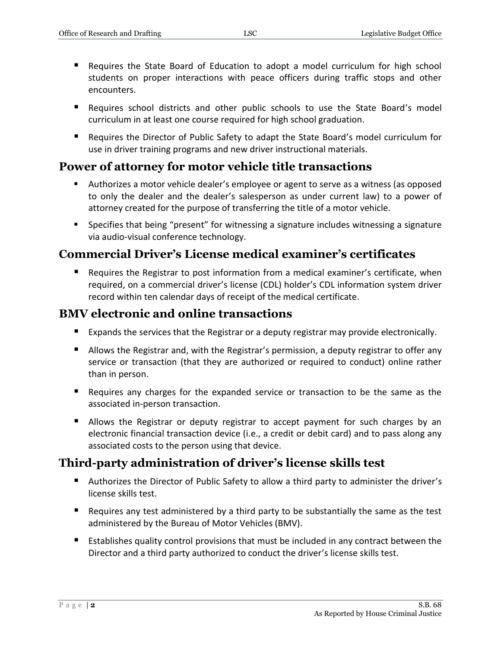- Requires the State Board of Education to adopt a model curriculum for high school students on proper interactions with peace officers during traffic stops and other encounters.
- Requires school districts and other public schools to use the State Board's model curriculum in at least one course required for high school graduation.
- Requires the Director of Public Safety to adapt the State Board's model curriculum for use in driver training programs and new driver instructional materials.

#### **Power of attorney for motor vehicle title transactions**

- Authorizes a motor vehicle dealer's employee or agent to serve as a witness (as opposed to only the dealer and the dealer's salesperson as under current law) to a power of attorney created for the purpose of transferring the title of a motor vehicle.
- Specifies that being "present" for witnessing a signature includes witnessing a signature via audio-visual conference technology.

#### **Commercial Driver's License medical examiner's certificates**

 Requires the Registrar to post information from a medical examiner's certificate, when required, on a commercial driver's license (CDL) holder's CDL information system driver record within ten calendar days of receipt of the medical certificate.

#### **BMV electronic and online transactions**

- Expands the services that the Registrar or a deputy registrar may provide electronically.
- Allows the Registrar and, with the Registrar's permission, a deputy registrar to offer any service or transaction (that they are authorized or required to conduct) online rather than in person.
- Requires any charges for the expanded service or transaction to be the same as the associated in-person transaction.
- **Allows the Registrar or deputy registrar to accept payment for such charges by an** electronic financial transaction device (i.e., a credit or debit card) and to pass along any associated costs to the person using that device.

## **Third-party administration of driver's license skills test**

- Authorizes the Director of Public Safety to allow a third party to administer the driver's license skills test.
- Requires any test administered by a third party to be substantially the same as the test administered by the Bureau of Motor Vehicles (BMV).
- Establishes quality control provisions that must be included in any contract between the Director and a third party authorized to conduct the driver's license skills test.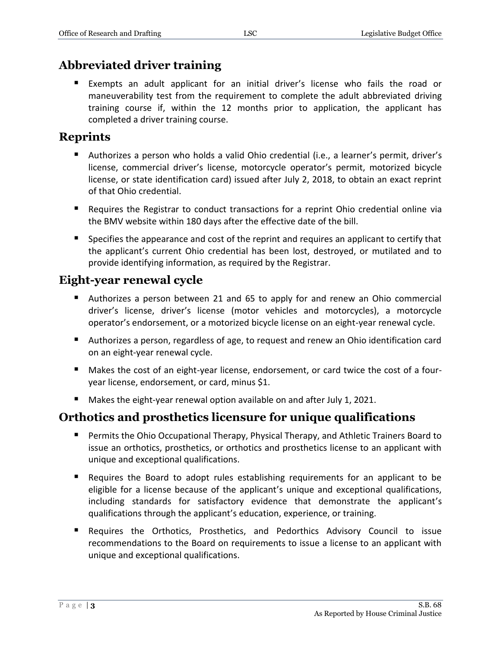## **Abbreviated driver training**

 Exempts an adult applicant for an initial driver's license who fails the road or maneuverability test from the requirement to complete the adult abbreviated driving training course if, within the 12 months prior to application, the applicant has completed a driver training course.

## **Reprints**

- Authorizes a person who holds a valid Ohio credential (i.e., a learner's permit, driver's license, commercial driver's license, motorcycle operator's permit, motorized bicycle license, or state identification card) issued after July 2, 2018, to obtain an exact reprint of that Ohio credential.
- **E** Requires the Registrar to conduct transactions for a reprint Ohio credential online via the BMV website within 180 days after the effective date of the bill.
- **Specifies the appearance and cost of the reprint and requires an applicant to certify that** the applicant's current Ohio credential has been lost, destroyed, or mutilated and to provide identifying information, as required by the Registrar.

## **Eight-year renewal cycle**

- Authorizes a person between 21 and 65 to apply for and renew an Ohio commercial driver's license, driver's license (motor vehicles and motorcycles), a motorcycle operator's endorsement, or a motorized bicycle license on an eight-year renewal cycle.
- Authorizes a person, regardless of age, to request and renew an Ohio identification card on an eight-year renewal cycle.
- Makes the cost of an eight-year license, endorsement, or card twice the cost of a fouryear license, endorsement, or card, minus \$1.
- Makes the eight-year renewal option available on and after July 1, 2021.

## **Orthotics and prosthetics licensure for unique qualifications**

- **Permits the Ohio Occupational Therapy, Physical Therapy, and Athletic Trainers Board to** issue an orthotics, prosthetics, or orthotics and prosthetics license to an applicant with unique and exceptional qualifications.
- Requires the Board to adopt rules establishing requirements for an applicant to be eligible for a license because of the applicant's unique and exceptional qualifications, including standards for satisfactory evidence that demonstrate the applicant's qualifications through the applicant's education, experience, or training.
- Requires the Orthotics, Prosthetics, and Pedorthics Advisory Council to issue recommendations to the Board on requirements to issue a license to an applicant with unique and exceptional qualifications.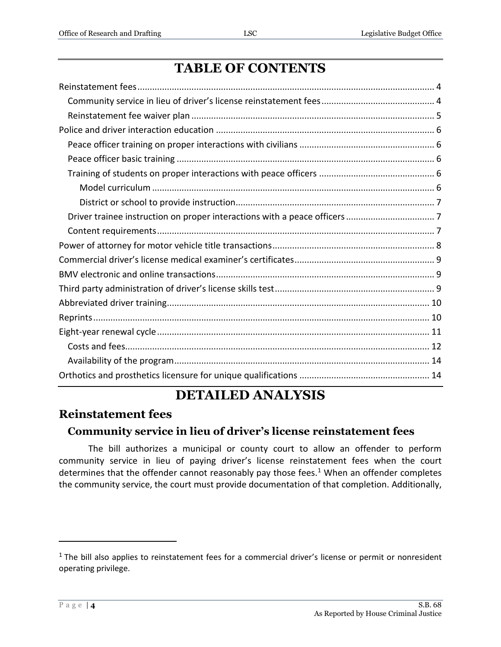# **TABLE OF CONTENTS**

## **DETAILED ANALYSIS**

## <span id="page-3-0"></span>**Reinstatement fees**

#### <span id="page-3-1"></span>**Community service in lieu of driver's license reinstatement fees**

The bill authorizes a municipal or county court to allow an offender to perform community service in lieu of paying driver's license reinstatement fees when the court determines that the offender cannot reasonably pay those fees. $1$  When an offender completes the community service, the court must provide documentation of that completion. Additionally,

 $1$  The bill also applies to reinstatement fees for a commercial driver's license or permit or nonresident operating privilege.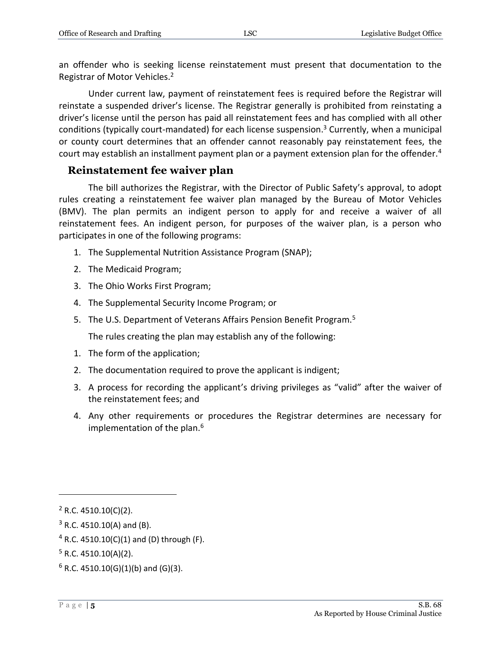an offender who is seeking license reinstatement must present that documentation to the Registrar of Motor Vehicles.<sup>2</sup>

Under current law, payment of reinstatement fees is required before the Registrar will reinstate a suspended driver's license. The Registrar generally is prohibited from reinstating a driver's license until the person has paid all reinstatement fees and has complied with all other conditions (typically court-mandated) for each license suspension.<sup>3</sup> Currently, when a municipal or county court determines that an offender cannot reasonably pay reinstatement fees, the court may establish an installment payment plan or a payment extension plan for the offender.<sup>4</sup>

## <span id="page-4-0"></span>**Reinstatement fee waiver plan**

The bill authorizes the Registrar, with the Director of Public Safety's approval, to adopt rules creating a reinstatement fee waiver plan managed by the Bureau of Motor Vehicles (BMV). The plan permits an indigent person to apply for and receive a waiver of all reinstatement fees. An indigent person, for purposes of the waiver plan, is a person who participates in one of the following programs:

- 1. The Supplemental Nutrition Assistance Program (SNAP);
- 2. The Medicaid Program;
- 3. The Ohio Works First Program;
- 4. The Supplemental Security Income Program; or
- 5. The U.S. Department of Veterans Affairs Pension Benefit Program.<sup>5</sup>

The rules creating the plan may establish any of the following:

- 1. The form of the application;
- 2. The documentation required to prove the applicant is indigent;
- 3. A process for recording the applicant's driving privileges as "valid" after the waiver of the reinstatement fees; and
- 4. Any other requirements or procedures the Registrar determines are necessary for implementation of the plan.<sup>6</sup>

 $2$  R.C. 4510.10(C)(2).

 $3$  R.C. 4510.10(A) and (B).

 $4$  R.C. 4510.10(C)(1) and (D) through (F).

 $5$  R.C. 4510.10(A)(2).

 $6$  R.C. 4510.10(G)(1)(b) and (G)(3).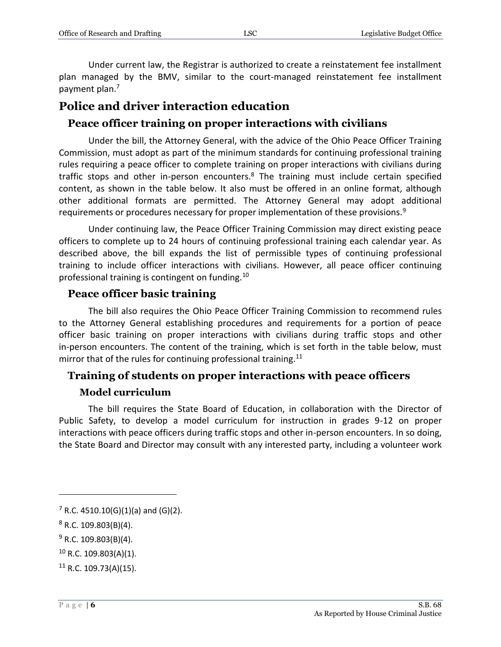Under current law, the Registrar is authorized to create a reinstatement fee installment plan managed by the BMV, similar to the court-managed reinstatement fee installment payment plan.<sup>7</sup>

## <span id="page-5-0"></span>**Police and driver interaction education**

#### <span id="page-5-1"></span>**Peace officer training on proper interactions with civilians**

Under the bill, the Attorney General, with the advice of the Ohio Peace Officer Training Commission, must adopt as part of the minimum standards for continuing professional training rules requiring a peace officer to complete training on proper interactions with civilians during traffic stops and other in-person encounters. $8$  The training must include certain specified content, as shown in the table below. It also must be offered in an online format, although other additional formats are permitted. The Attorney General may adopt additional requirements or procedures necessary for proper implementation of these provisions.<sup>9</sup>

Under continuing law, the Peace Officer Training Commission may direct existing peace officers to complete up to 24 hours of continuing professional training each calendar year. As described above, the bill expands the list of permissible types of continuing professional training to include officer interactions with civilians. However, all peace officer continuing professional training is contingent on funding.<sup>10</sup>

#### <span id="page-5-2"></span>**Peace officer basic training**

The bill also requires the Ohio Peace Officer Training Commission to recommend rules to the Attorney General establishing procedures and requirements for a portion of peace officer basic training on proper interactions with civilians during traffic stops and other in-person encounters. The content of the training, which is set forth in the table below, must mirror that of the rules for continuing professional training.<sup>11</sup>

#### <span id="page-5-3"></span>**Training of students on proper interactions with peace officers**

#### **Model curriculum**

<span id="page-5-4"></span>The bill requires the State Board of Education, in collaboration with the Director of Public Safety, to develop a model curriculum for instruction in grades 9-12 on proper interactions with peace officers during traffic stops and other in-person encounters. In so doing, the State Board and Director may consult with any interested party, including a volunteer work

 $7$  R.C. 4510.10(G)(1)(a) and (G)(2).

 $8$  R.C. 109.803(B)(4).

 $9$  R.C. 109.803(B)(4).

 $10$  R.C. 109.803(A)(1).

 $11$  R.C. 109.73(A)(15).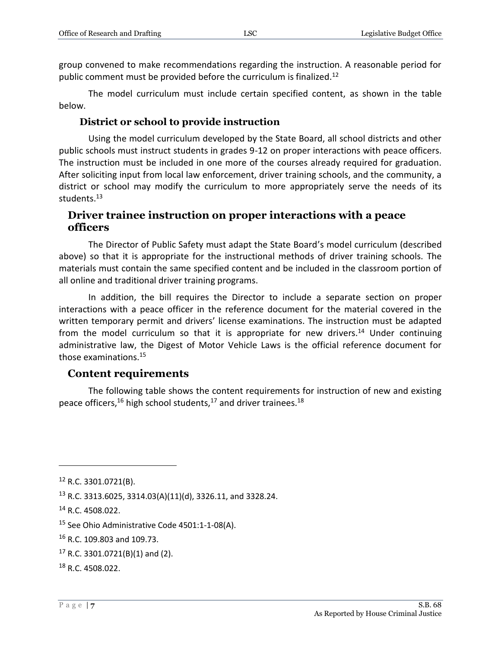group convened to make recommendations regarding the instruction. A reasonable period for public comment must be provided before the curriculum is finalized.<sup>12</sup>

The model curriculum must include certain specified content, as shown in the table below.

#### **District or school to provide instruction**

<span id="page-6-0"></span>Using the model curriculum developed by the State Board, all school districts and other public schools must instruct students in grades 9-12 on proper interactions with peace officers. The instruction must be included in one more of the courses already required for graduation. After soliciting input from local law enforcement, driver training schools, and the community, a district or school may modify the curriculum to more appropriately serve the needs of its students.<sup>13</sup>

#### <span id="page-6-1"></span>**Driver trainee instruction on proper interactions with a peace officers**

The Director of Public Safety must adapt the State Board's model curriculum (described above) so that it is appropriate for the instructional methods of driver training schools. The materials must contain the same specified content and be included in the classroom portion of all online and traditional driver training programs.

In addition, the bill requires the Director to include a separate section on proper interactions with a peace officer in the reference document for the material covered in the written temporary permit and drivers' license examinations. The instruction must be adapted from the model curriculum so that it is appropriate for new drivers.<sup>14</sup> Under continuing administrative law, the Digest of Motor Vehicle Laws is the official reference document for those examinations.<sup>15</sup>

#### <span id="page-6-2"></span>**Content requirements**

The following table shows the content requirements for instruction of new and existing peace officers,<sup>16</sup> high school students,<sup>17</sup> and driver trainees.<sup>18</sup>

- $17$  R.C. 3301.0721(B)(1) and (2).
- <sup>18</sup> R.C. 4508.022.

 $12$  R.C. 3301.0721(B).

<sup>13</sup> R.C. 3313.6025, 3314.03(A)(11)(d), 3326.11, and 3328.24.

<sup>14</sup> R.C. 4508.022.

<sup>&</sup>lt;sup>15</sup> See Ohio Administrative Code 4501:1-1-08(A).

<sup>16</sup> R.C. 109.803 and 109.73.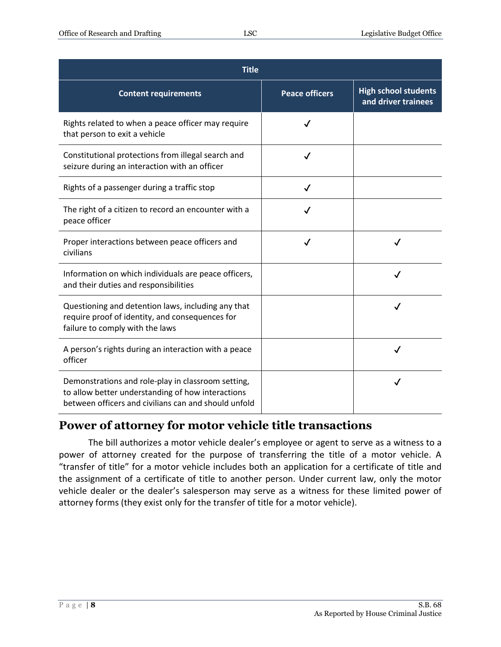| <b>Title</b>                                                                                                                                                    |                       |                                                    |  |  |  |
|-----------------------------------------------------------------------------------------------------------------------------------------------------------------|-----------------------|----------------------------------------------------|--|--|--|
| <b>Content requirements</b>                                                                                                                                     | <b>Peace officers</b> | <b>High school students</b><br>and driver trainees |  |  |  |
| Rights related to when a peace officer may require<br>that person to exit a vehicle                                                                             | ✓                     |                                                    |  |  |  |
| Constitutional protections from illegal search and<br>seizure during an interaction with an officer                                                             | ✓                     |                                                    |  |  |  |
| Rights of a passenger during a traffic stop                                                                                                                     | ✓                     |                                                    |  |  |  |
| The right of a citizen to record an encounter with a<br>peace officer                                                                                           |                       |                                                    |  |  |  |
| Proper interactions between peace officers and<br>civilians                                                                                                     | ✓                     | ✓                                                  |  |  |  |
| Information on which individuals are peace officers,<br>and their duties and responsibilities                                                                   |                       | ✓                                                  |  |  |  |
| Questioning and detention laws, including any that<br>require proof of identity, and consequences for<br>failure to comply with the laws                        |                       | ✓                                                  |  |  |  |
| A person's rights during an interaction with a peace<br>officer                                                                                                 |                       |                                                    |  |  |  |
| Demonstrations and role-play in classroom setting,<br>to allow better understanding of how interactions<br>between officers and civilians can and should unfold |                       |                                                    |  |  |  |

## <span id="page-7-0"></span>**Power of attorney for motor vehicle title transactions**

The bill authorizes a motor vehicle dealer's employee or agent to serve as a witness to a power of attorney created for the purpose of transferring the title of a motor vehicle. A "transfer of title" for a motor vehicle includes both an application for a certificate of title and the assignment of a certificate of title to another person. Under current law, only the motor vehicle dealer or the dealer's salesperson may serve as a witness for these limited power of attorney forms (they exist only for the transfer of title for a motor vehicle).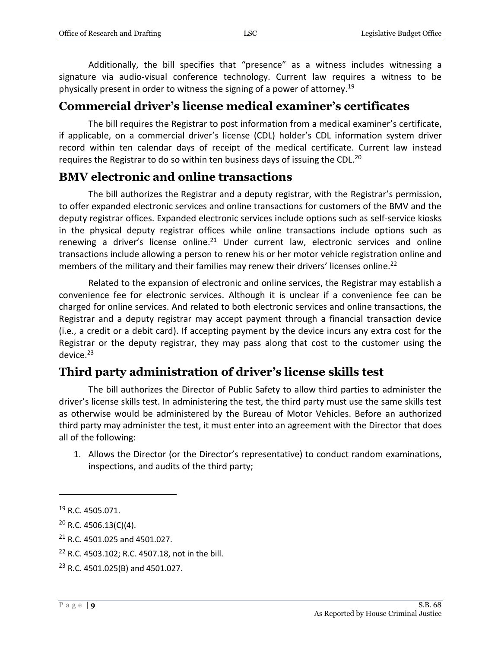Additionally, the bill specifies that "presence" as a witness includes witnessing a signature via audio-visual conference technology. Current law requires a witness to be physically present in order to witness the signing of a power of attorney.<sup>19</sup>

#### <span id="page-8-0"></span>**Commercial driver's license medical examiner's certificates**

The bill requires the Registrar to post information from a medical examiner's certificate, if applicable, on a commercial driver's license (CDL) holder's CDL information system driver record within ten calendar days of receipt of the medical certificate. Current law instead requires the Registrar to do so within ten business days of issuing the CDL.<sup>20</sup>

#### <span id="page-8-1"></span>**BMV electronic and online transactions**

The bill authorizes the Registrar and a deputy registrar, with the Registrar's permission, to offer expanded electronic services and online transactions for customers of the BMV and the deputy registrar offices. Expanded electronic services include options such as self-service kiosks in the physical deputy registrar offices while online transactions include options such as renewing a driver's license online.<sup>21</sup> Under current law, electronic services and online transactions include allowing a person to renew his or her motor vehicle registration online and members of the military and their families may renew their drivers' licenses online.<sup>22</sup>

Related to the expansion of electronic and online services, the Registrar may establish a convenience fee for electronic services. Although it is unclear if a convenience fee can be charged for online services. And related to both electronic services and online transactions, the Registrar and a deputy registrar may accept payment through a financial transaction device (i.e., a credit or a debit card). If accepting payment by the device incurs any extra cost for the Registrar or the deputy registrar, they may pass along that cost to the customer using the device. $23$ 

## <span id="page-8-2"></span>**Third party administration of driver's license skills test**

The bill authorizes the Director of Public Safety to allow third parties to administer the driver's license skills test. In administering the test, the third party must use the same skills test as otherwise would be administered by the Bureau of Motor Vehicles. Before an authorized third party may administer the test, it must enter into an agreement with the Director that does all of the following:

1. Allows the Director (or the Director's representative) to conduct random examinations, inspections, and audits of the third party;

<sup>19</sup> R.C. 4505.071.

 $20$  R.C. 4506.13(C)(4).

<sup>21</sup> R.C. 4501.025 and 4501.027.

<sup>22</sup> R.C. 4503.102; R.C. 4507.18, not in the bill.

<sup>23</sup> R.C. 4501.025(B) and 4501.027.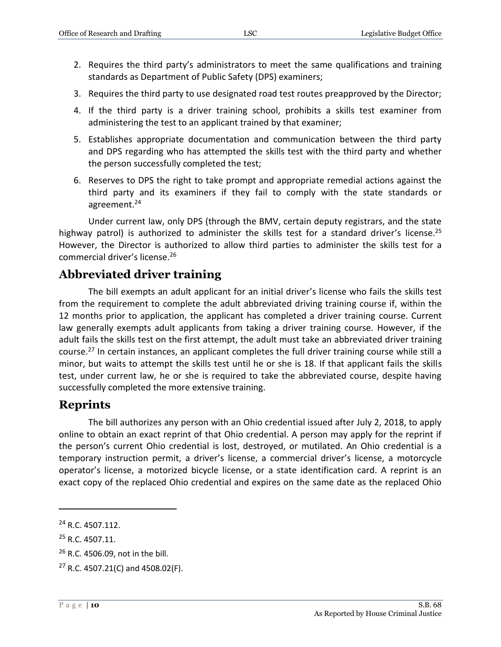- 2. Requires the third party's administrators to meet the same qualifications and training standards as Department of Public Safety (DPS) examiners;
- 3. Requires the third party to use designated road test routes preapproved by the Director;
- 4. If the third party is a driver training school, prohibits a skills test examiner from administering the test to an applicant trained by that examiner;
- 5. Establishes appropriate documentation and communication between the third party and DPS regarding who has attempted the skills test with the third party and whether the person successfully completed the test;
- 6. Reserves to DPS the right to take prompt and appropriate remedial actions against the third party and its examiners if they fail to comply with the state standards or agreement.<sup>24</sup>

Under current law, only DPS (through the BMV, certain deputy registrars, and the state highway patrol) is authorized to administer the skills test for a standard driver's license.<sup>25</sup> However, the Director is authorized to allow third parties to administer the skills test for a commercial driver's license.<sup>26</sup>

#### <span id="page-9-0"></span>**Abbreviated driver training**

The bill exempts an adult applicant for an initial driver's license who fails the skills test from the requirement to complete the adult abbreviated driving training course if, within the 12 months prior to application, the applicant has completed a driver training course. Current law generally exempts adult applicants from taking a driver training course. However, if the adult fails the skills test on the first attempt, the adult must take an abbreviated driver training course.<sup>27</sup> In certain instances, an applicant completes the full driver training course while still a minor, but waits to attempt the skills test until he or she is 18. If that applicant fails the skills test, under current law, he or she is required to take the abbreviated course, despite having successfully completed the more extensive training.

#### <span id="page-9-1"></span>**Reprints**

The bill authorizes any person with an Ohio credential issued after July 2, 2018, to apply online to obtain an exact reprint of that Ohio credential. A person may apply for the reprint if the person's current Ohio credential is lost, destroyed, or mutilated. An Ohio credential is a temporary instruction permit, a driver's license, a commercial driver's license, a motorcycle operator's license, a motorized bicycle license, or a state identification card. A reprint is an exact copy of the replaced Ohio credential and expires on the same date as the replaced Ohio

<sup>24</sup> R.C. 4507.112.

<sup>&</sup>lt;sup>25</sup> R.C. 4507.11.

<sup>&</sup>lt;sup>26</sup> R.C. 4506.09, not in the bill.

<sup>27</sup> R.C. 4507.21(C) and 4508.02(F).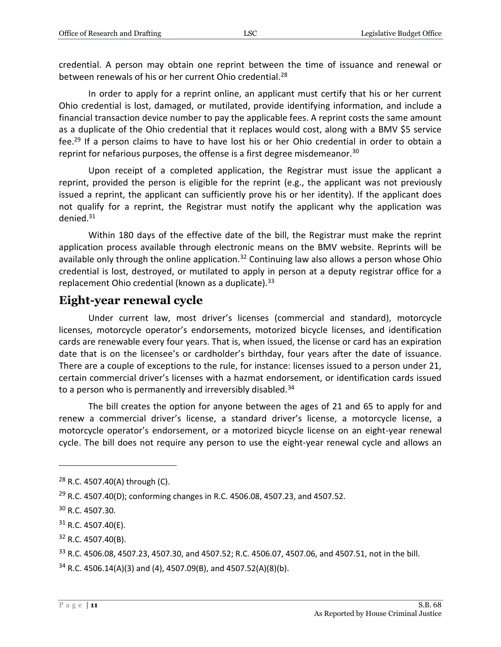credential. A person may obtain one reprint between the time of issuance and renewal or between renewals of his or her current Ohio credential.<sup>28</sup>

In order to apply for a reprint online, an applicant must certify that his or her current Ohio credential is lost, damaged, or mutilated, provide identifying information, and include a financial transaction device number to pay the applicable fees. A reprint costs the same amount as a duplicate of the Ohio credential that it replaces would cost, along with a BMV \$5 service fee.<sup>29</sup> If a person claims to have to have lost his or her Ohio credential in order to obtain a reprint for nefarious purposes, the offense is a first degree misdemeanor.<sup>30</sup>

Upon receipt of a completed application, the Registrar must issue the applicant a reprint, provided the person is eligible for the reprint (e.g., the applicant was not previously issued a reprint, the applicant can sufficiently prove his or her identity). If the applicant does not qualify for a reprint, the Registrar must notify the applicant why the application was denied.<sup>31</sup>

Within 180 days of the effective date of the bill, the Registrar must make the reprint application process available through electronic means on the BMV website. Reprints will be available only through the online application.<sup>32</sup> Continuing law also allows a person whose Ohio credential is lost, destroyed, or mutilated to apply in person at a deputy registrar office for a replacement Ohio credential (known as a duplicate).<sup>33</sup>

#### <span id="page-10-0"></span>**Eight-year renewal cycle**

Under current law, most driver's licenses (commercial and standard), motorcycle licenses, motorcycle operator's endorsements, motorized bicycle licenses, and identification cards are renewable every four years. That is, when issued, the license or card has an expiration date that is on the licensee's or cardholder's birthday, four years after the date of issuance. There are a couple of exceptions to the rule, for instance: licenses issued to a person under 21, certain commercial driver's licenses with a hazmat endorsement, or identification cards issued to a person who is permanently and irreversibly disabled.<sup>34</sup>

The bill creates the option for anyone between the ages of 21 and 65 to apply for and renew a commercial driver's license, a standard driver's license, a motorcycle license, a motorcycle operator's endorsement, or a motorized bicycle license on an eight-year renewal cycle. The bill does not require any person to use the eight-year renewal cycle and allows an

 $\overline{a}$ 

 $31$  R.C. 4507.40(E).

<sup>32</sup> R.C. 4507.40(B).

<sup>33</sup> R.C. 4506.08, 4507.23, 4507.30, and 4507.52; R.C. 4506.07, 4507.06, and 4507.51, not in the bill.

 $34$  R.C. 4506.14(A)(3) and (4), 4507.09(B), and 4507.52(A)(8)(b).

 $28$  R.C. 4507.40(A) through (C).

<sup>&</sup>lt;sup>29</sup> R.C. 4507.40(D); conforming changes in R.C. 4506.08, 4507.23, and 4507.52.

<sup>30</sup> R.C. 4507.30.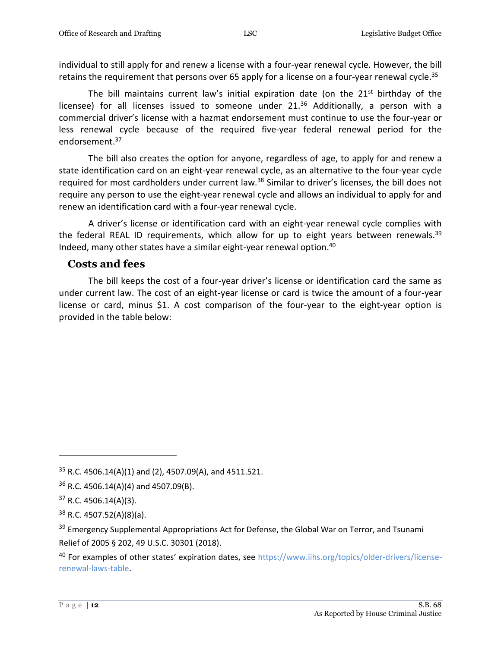individual to still apply for and renew a license with a four-year renewal cycle. However, the bill retains the requirement that persons over 65 apply for a license on a four-year renewal cycle.<sup>35</sup>

The bill maintains current law's initial expiration date (on the  $21<sup>st</sup>$  birthday of the licensee) for all licenses issued to someone under  $21<sup>36</sup>$  Additionally, a person with a commercial driver's license with a hazmat endorsement must continue to use the four-year or less renewal cycle because of the required five-year federal renewal period for the endorsement.<sup>37</sup>

The bill also creates the option for anyone, regardless of age, to apply for and renew a state identification card on an eight-year renewal cycle, as an alternative to the four-year cycle required for most cardholders under current law.<sup>38</sup> Similar to driver's licenses, the bill does not require any person to use the eight-year renewal cycle and allows an individual to apply for and renew an identification card with a four-year renewal cycle.

A driver's license or identification card with an eight-year renewal cycle complies with the federal REAL ID requirements, which allow for up to eight years between renewals.<sup>39</sup> Indeed, many other states have a similar eight-year renewal option.<sup>40</sup>

#### <span id="page-11-0"></span>**Costs and fees**

The bill keeps the cost of a four-year driver's license or identification card the same as under current law. The cost of an eight-year license or card is twice the amount of a four-year license or card, minus \$1. A cost comparison of the four-year to the eight-year option is provided in the table below:

 $35$  R.C. 4506.14(A)(1) and (2), 4507.09(A), and 4511.521.

 $36$  R.C. 4506.14(A)(4) and 4507.09(B).

 $37$  R.C. 4506.14(A)(3).

 $38$  R.C. 4507.52(A)(8)(a).

<sup>&</sup>lt;sup>39</sup> Emergency Supplemental Appropriations Act for Defense, the Global War on Terror, and Tsunami Relief of 2005 § 202, 49 U.S.C. 30301 (2018).

<sup>&</sup>lt;sup>40</sup> For examples of other states' expiration dates, see [https://www.iihs.org/topics/older-drivers/license](https://www.iihs.org/topics/older-drivers/license-renewal-laws-table)[renewal-laws-table.](https://www.iihs.org/topics/older-drivers/license-renewal-laws-table)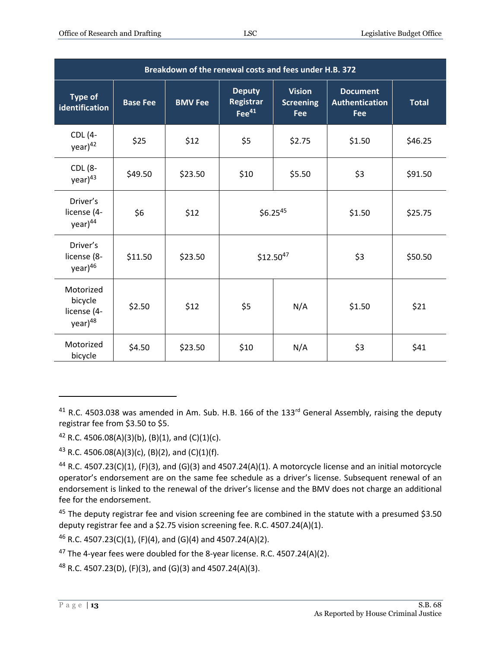| Breakdown of the renewal costs and fees under H.B. 372     |                 |                |                                                |                                          |                                                 |              |
|------------------------------------------------------------|-----------------|----------------|------------------------------------------------|------------------------------------------|-------------------------------------------------|--------------|
| <b>Type of</b><br>identification                           | <b>Base Fee</b> | <b>BMV Fee</b> | <b>Deputy</b><br>Registrar<br>$\text{Fe}^{41}$ | <b>Vision</b><br><b>Screening</b><br>Fee | <b>Document</b><br><b>Authentication</b><br>Fee | <b>Total</b> |
| CDL (4-<br>year) <sup>42</sup>                             | \$25            | \$12           | \$5                                            | \$2.75                                   | \$1.50                                          | \$46.25      |
| CDL (8-<br>year) <sup>43</sup>                             | \$49.50         | \$23.50        | \$10                                           | \$5.50                                   | \$3                                             | \$91.50      |
| Driver's<br>license (4-<br>year) <sup>44</sup>             | \$6             | \$12           | $$6.25^{45}$                                   |                                          | \$1.50                                          | \$25.75      |
| Driver's<br>license (8-<br>year) <sup>46</sup>             | \$11.50         | \$23.50        | $$12.50^{47}$                                  |                                          | \$3                                             | \$50.50      |
| Motorized<br>bicycle<br>license (4-<br>year) <sup>48</sup> | \$2.50          | \$12           | \$5                                            | N/A                                      | \$1.50                                          | \$21         |
| Motorized<br>bicycle                                       | \$4.50          | \$23.50        | \$10                                           | N/A                                      | \$3                                             | \$41         |

<sup>41</sup> R.C. 4503.038 was amended in Am. Sub. H.B. 166 of the 133<sup>rd</sup> General Assembly, raising the deputy registrar fee from \$3.50 to \$5.

<sup>42</sup> R.C. 4506.08(A)(3)(b), (B)(1), and (C)(1)(c).

<sup>43</sup> R.C. 4506.08(A)(3)(c), (B)(2), and (C)(1)(f).

<sup>44</sup> R.C. 4507.23(C)(1), (F)(3), and (G)(3) and 4507.24(A)(1). A motorcycle license and an initial motorcycle operator's endorsement are on the same fee schedule as a driver's license. Subsequent renewal of an endorsement is linked to the renewal of the driver's license and the BMV does not charge an additional fee for the endorsement.

 $45$  The deputy registrar fee and vision screening fee are combined in the statute with a presumed \$3.50 deputy registrar fee and a \$2.75 vision screening fee. R.C. 4507.24(A)(1).

<sup>46</sup> R.C. 4507.23(C)(1), (F)(4), and (G)(4) and 4507.24(A)(2).

<sup>47</sup> The 4-year fees were doubled for the 8-year license. R.C. 4507.24(A)(2).

<sup>48</sup> R.C. 4507.23(D), (F)(3), and (G)(3) and 4507.24(A)(3).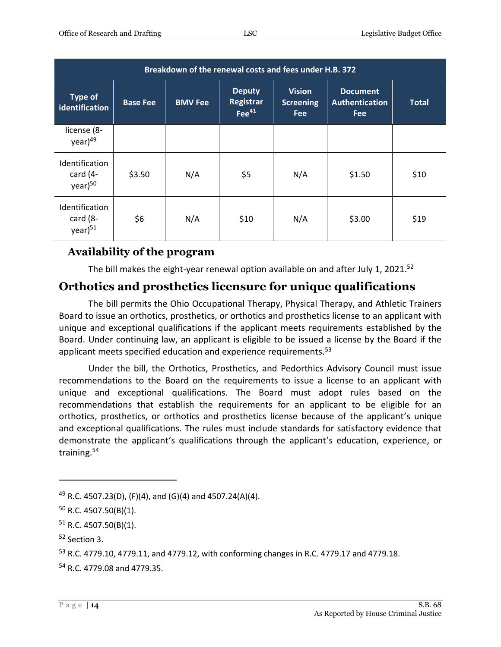| Breakdown of the renewal costs and fees under H.B. 372 |                 |                |                                                 |                                                 |                                                        |              |
|--------------------------------------------------------|-----------------|----------------|-------------------------------------------------|-------------------------------------------------|--------------------------------------------------------|--------------|
| <b>Type of</b><br>identification                       | <b>Base Fee</b> | <b>BMV Fee</b> | <b>Deputy</b><br><b>Registrar</b><br>$Fee^{41}$ | <b>Vision</b><br><b>Screening</b><br><b>Fee</b> | <b>Document</b><br><b>Authentication</b><br><b>Fee</b> | <b>Total</b> |
| license (8-<br>year) <sup>49</sup>                     |                 |                |                                                 |                                                 |                                                        |              |
| Identification<br>card $(4-$<br>year) <sup>50</sup>    | \$3.50          | N/A            | \$5                                             | N/A                                             | \$1.50                                                 | \$10         |
| Identification<br>card (8-<br>year) <sup>51</sup>      | \$6             | N/A            | \$10                                            | N/A                                             | \$3.00                                                 | \$19         |

#### <span id="page-13-0"></span>**Availability of the program**

The bill makes the eight-year renewal option available on and after July 1, 2021.<sup>52</sup>

## <span id="page-13-1"></span>**Orthotics and prosthetics licensure for unique qualifications**

The bill permits the Ohio Occupational Therapy, Physical Therapy, and Athletic Trainers Board to issue an orthotics, prosthetics, or orthotics and prosthetics license to an applicant with unique and exceptional qualifications if the applicant meets requirements established by the Board. Under continuing law, an applicant is eligible to be issued a license by the Board if the applicant meets specified education and experience requirements.<sup>53</sup>

Under the bill, the Orthotics, Prosthetics, and Pedorthics Advisory Council must issue recommendations to the Board on the requirements to issue a license to an applicant with unique and exceptional qualifications. The Board must adopt rules based on the recommendations that establish the requirements for an applicant to be eligible for an orthotics, prosthetics, or orthotics and prosthetics license because of the applicant's unique and exceptional qualifications. The rules must include standards for satisfactory evidence that demonstrate the applicant's qualifications through the applicant's education, experience, or training.<sup>54</sup>

<sup>&</sup>lt;sup>49</sup> R.C. 4507.23(D), (F)(4), and (G)(4) and 4507.24(A)(4).

<sup>50</sup> R.C. 4507.50(B)(1).

 $51$  R.C. 4507.50(B)(1).

<sup>52</sup> Section 3.

<sup>53</sup> R.C. 4779.10, 4779.11, and 4779.12, with conforming changes in R.C. 4779.17 and 4779.18.

<sup>54</sup> R.C. 4779.08 and 4779.35.